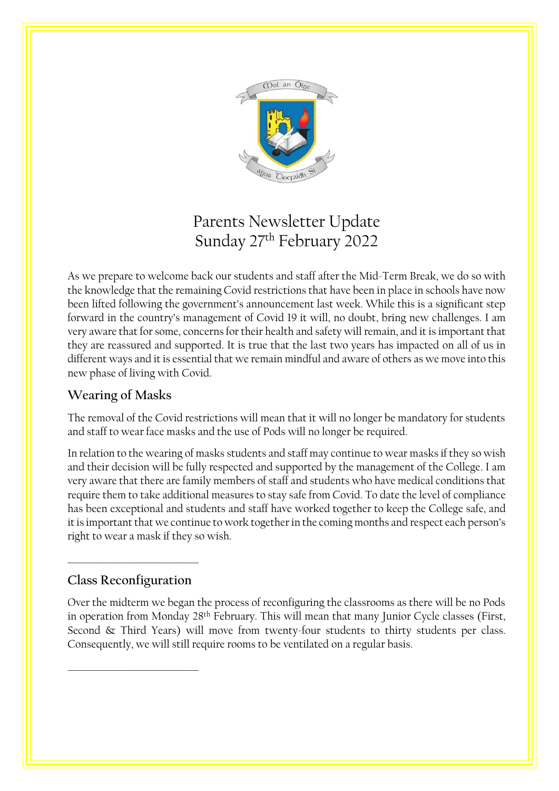

# Parents Newsletter Update Sunday 27th February 2022

As we prepare to welcome back our students and staff after the Mid-Term Break, we do so with the knowledge that the remaining Covid restrictions that have been in place in schools have now been lifted following the government's announcement last week. While this is a significant step forward in the country's management of Covid 19 it will, no doubt, bring new challenges. I am very aware that for some, concerns for their health and safety will remain, and it is important that they are reassured and supported. It is true that the last two years has impacted on all of us in different ways and it is essential that we remain mindful and aware of others as we move into this new phase of living with Covid.

## **Wearing of Masks**

The removal of the Covid restrictions will mean that it will no longer be mandatory for students and staff to wear face masks and the use of Pods will no longer be required.

In relation to the wearing of masks students and staff may continue to wear masks if they so wish and their decision will be fully respected and supported by the management of the College. I am very aware that there are family members of staff and students who have medical conditions that require them to take additional measures to stay safe from Covid. To date the level of compliance has been exceptional and students and staff have worked together to keep the College safe, and it is important that we continue to work together in the coming months and respect each person's right to wear a mask if they so wish.

## **Class Reconfiguration**

\_\_\_\_\_\_\_\_\_\_\_\_\_\_\_\_\_\_\_\_\_\_\_\_\_\_\_\_\_\_\_

\_\_\_\_\_\_\_\_\_\_\_\_\_\_\_\_\_\_\_\_\_\_\_\_\_\_\_\_\_\_\_

Over the midterm we began the process of reconfiguring the classrooms as there will be no Pods in operation from Monday 28<sup>th</sup> February. This will mean that many Junior Cycle classes (First, Second & Third Years) will move from twenty-four students to thirty students per class. Consequently, we will still require rooms to be ventilated on a regular basis.